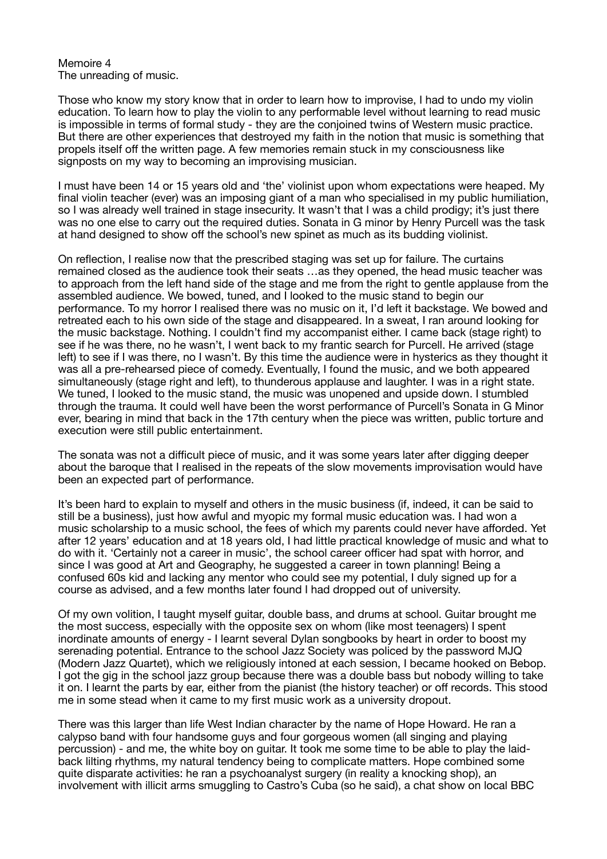Memoire 4 The unreading of music.

Those who know my story know that in order to learn how to improvise, I had to undo my violin education. To learn how to play the violin to any performable level without learning to read music is impossible in terms of formal study - they are the conjoined twins of Western music practice. But there are other experiences that destroyed my faith in the notion that music is something that propels itself off the written page. A few memories remain stuck in my consciousness like signposts on my way to becoming an improvising musician.

I must have been 14 or 15 years old and 'the' violinist upon whom expectations were heaped. My final violin teacher (ever) was an imposing giant of a man who specialised in my public humiliation, so I was already well trained in stage insecurity. It wasn't that I was a child prodigy; it's just there was no one else to carry out the required duties. Sonata in G minor by Henry Purcell was the task at hand designed to show off the school's new spinet as much as its budding violinist.

On reflection, I realise now that the prescribed staging was set up for failure. The curtains remained closed as the audience took their seats …as they opened, the head music teacher was to approach from the left hand side of the stage and me from the right to gentle applause from the assembled audience. We bowed, tuned, and I looked to the music stand to begin our performance. To my horror I realised there was no music on it, I'd left it backstage. We bowed and retreated each to his own side of the stage and disappeared. In a sweat, I ran around looking for the music backstage. Nothing. I couldn't find my accompanist either. I came back (stage right) to see if he was there, no he wasn't, I went back to my frantic search for Purcell. He arrived (stage left) to see if I was there, no I wasn't. By this time the audience were in hysterics as they thought it was all a pre-rehearsed piece of comedy. Eventually, I found the music, and we both appeared simultaneously (stage right and left), to thunderous applause and laughter. I was in a right state. We tuned, I looked to the music stand, the music was unopened and upside down. I stumbled through the trauma. It could well have been the worst performance of Purcell's Sonata in G Minor ever, bearing in mind that back in the 17th century when the piece was written, public torture and execution were still public entertainment.

The sonata was not a difficult piece of music, and it was some years later after digging deeper about the baroque that I realised in the repeats of the slow movements improvisation would have been an expected part of performance.

It's been hard to explain to myself and others in the music business (if, indeed, it can be said to still be a business), just how awful and myopic my formal music education was. I had won a music scholarship to a music school, the fees of which my parents could never have afforded. Yet after 12 years' education and at 18 years old, I had little practical knowledge of music and what to do with it. 'Certainly not a career in music', the school career officer had spat with horror, and since I was good at Art and Geography, he suggested a career in town planning! Being a confused 60s kid and lacking any mentor who could see my potential, I duly signed up for a course as advised, and a few months later found I had dropped out of university.

Of my own volition, I taught myself guitar, double bass, and drums at school. Guitar brought me the most success, especially with the opposite sex on whom (like most teenagers) I spent inordinate amounts of energy - I learnt several Dylan songbooks by heart in order to boost my serenading potential. Entrance to the school Jazz Society was policed by the password MJQ (Modern Jazz Quartet), which we religiously intoned at each session, I became hooked on Bebop. I got the gig in the school jazz group because there was a double bass but nobody willing to take it on. I learnt the parts by ear, either from the pianist (the history teacher) or off records. This stood me in some stead when it came to my first music work as a university dropout.

There was this larger than life West Indian character by the name of Hope Howard. He ran a calypso band with four handsome guys and four gorgeous women (all singing and playing percussion) - and me, the white boy on guitar. It took me some time to be able to play the laidback lilting rhythms, my natural tendency being to complicate matters. Hope combined some quite disparate activities: he ran a psychoanalyst surgery (in reality a knocking shop), an involvement with illicit arms smuggling to Castro's Cuba (so he said), a chat show on local BBC